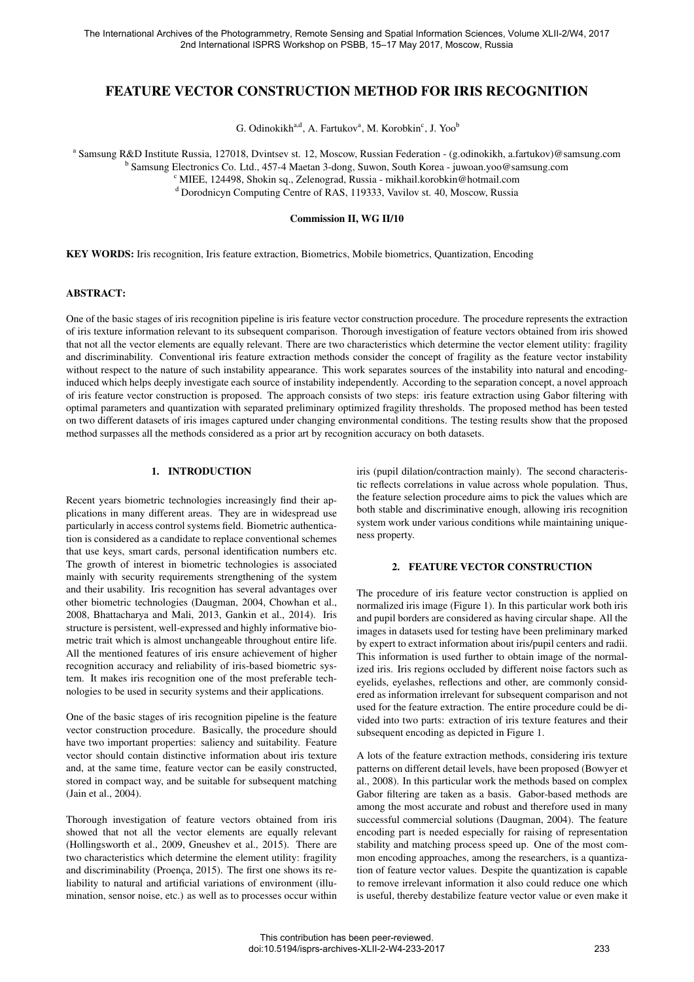# FEATURE VECTOR CONSTRUCTION METHOD FOR IRIS RECOGNITION

G. Odinokikh<sup>a,d</sup>, A. Fartukov<sup>a</sup>, M. Korobkin<sup>c</sup>, J. Yoo<sup>b</sup>

a Samsung R&D Institute Russia, 127018, Dvintsev st. 12, Moscow, Russian Federation - (g.odinokikh, a.fartukov)@samsung.com

<sup>b</sup> Samsung Electronics Co. Ltd., 457-4 Maetan 3-dong, Suwon, South Korea - juwoan.yoo@samsung.com

<sup>c</sup> MIEE, 124498, Shokin sq., Zelenograd, Russia - mikhail.korobkin@hotmail.com

<sup>d</sup> Dorodnicyn Computing Centre of RAS, 119333, Vavilov st. 40, Moscow, Russia

#### Commission II, WG II/10

KEY WORDS: Iris recognition, Iris feature extraction, Biometrics, Mobile biometrics, Quantization, Encoding

#### ABSTRACT:

One of the basic stages of iris recognition pipeline is iris feature vector construction procedure. The procedure represents the extraction of iris texture information relevant to its subsequent comparison. Thorough investigation of feature vectors obtained from iris showed that not all the vector elements are equally relevant. There are two characteristics which determine the vector element utility: fragility and discriminability. Conventional iris feature extraction methods consider the concept of fragility as the feature vector instability without respect to the nature of such instability appearance. This work separates sources of the instability into natural and encodinginduced which helps deeply investigate each source of instability independently. According to the separation concept, a novel approach of iris feature vector construction is proposed. The approach consists of two steps: iris feature extraction using Gabor filtering with optimal parameters and quantization with separated preliminary optimized fragility thresholds. The proposed method has been tested on two different datasets of iris images captured under changing environmental conditions. The testing results show that the proposed method surpasses all the methods considered as a prior art by recognition accuracy on both datasets.

### 1. INTRODUCTION

Recent years biometric technologies increasingly find their applications in many different areas. They are in widespread use particularly in access control systems field. Biometric authentication is considered as a candidate to replace conventional schemes that use keys, smart cards, personal identification numbers etc. The growth of interest in biometric technologies is associated mainly with security requirements strengthening of the system and their usability. Iris recognition has several advantages over other biometric technologies (Daugman, 2004, Chowhan et al., 2008, Bhattacharya and Mali, 2013, Gankin et al., 2014). Iris structure is persistent, well-expressed and highly informative biometric trait which is almost unchangeable throughout entire life. All the mentioned features of iris ensure achievement of higher recognition accuracy and reliability of iris-based biometric system. It makes iris recognition one of the most preferable technologies to be used in security systems and their applications.

One of the basic stages of iris recognition pipeline is the feature vector construction procedure. Basically, the procedure should have two important properties: saliency and suitability. Feature vector should contain distinctive information about iris texture and, at the same time, feature vector can be easily constructed, stored in compact way, and be suitable for subsequent matching (Jain et al., 2004).

Thorough investigation of feature vectors obtained from iris showed that not all the vector elements are equally relevant (Hollingsworth et al., 2009, Gneushev et al., 2015). There are two characteristics which determine the element utility: fragility and discriminability (Proença,  $2015$ ). The first one shows its reliability to natural and artificial variations of environment (illumination, sensor noise, etc.) as well as to processes occur within iris (pupil dilation/contraction mainly). The second characteristic reflects correlations in value across whole population. Thus, the feature selection procedure aims to pick the values which are both stable and discriminative enough, allowing iris recognition system work under various conditions while maintaining uniqueness property.

# 2. FEATURE VECTOR CONSTRUCTION

The procedure of iris feature vector construction is applied on normalized iris image (Figure 1). In this particular work both iris and pupil borders are considered as having circular shape. All the images in datasets used for testing have been preliminary marked by expert to extract information about iris/pupil centers and radii. This information is used further to obtain image of the normalized iris. Iris regions occluded by different noise factors such as eyelids, eyelashes, reflections and other, are commonly considered as information irrelevant for subsequent comparison and not used for the feature extraction. The entire procedure could be divided into two parts: extraction of iris texture features and their subsequent encoding as depicted in Figure 1.

A lots of the feature extraction methods, considering iris texture patterns on different detail levels, have been proposed (Bowyer et al., 2008). In this particular work the methods based on complex Gabor filtering are taken as a basis. Gabor-based methods are among the most accurate and robust and therefore used in many successful commercial solutions (Daugman, 2004). The feature encoding part is needed especially for raising of representation stability and matching process speed up. One of the most common encoding approaches, among the researchers, is a quantization of feature vector values. Despite the quantization is capable to remove irrelevant information it also could reduce one which is useful, thereby destabilize feature vector value or even make it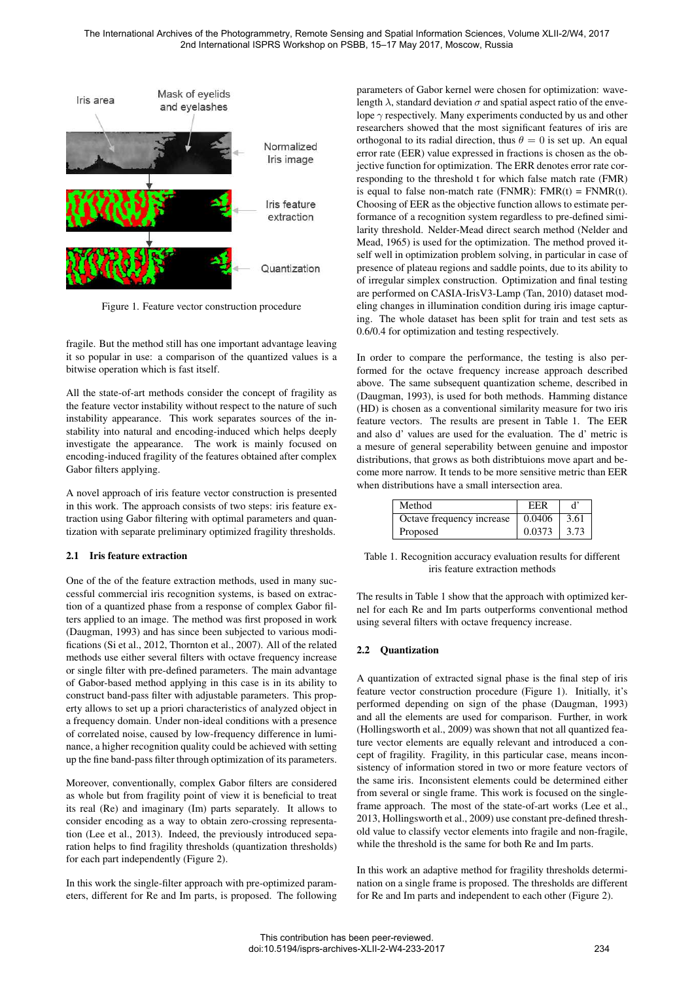

Figure 1. Feature vector construction procedure

fragile. But the method still has one important advantage leaving it so popular in use: a comparison of the quantized values is a bitwise operation which is fast itself.

All the state-of-art methods consider the concept of fragility as the feature vector instability without respect to the nature of such instability appearance. This work separates sources of the instability into natural and encoding-induced which helps deeply investigate the appearance. The work is mainly focused on encoding-induced fragility of the features obtained after complex Gabor filters applying.

A novel approach of iris feature vector construction is presented in this work. The approach consists of two steps: iris feature extraction using Gabor filtering with optimal parameters and quantization with separate preliminary optimized fragility thresholds.

# 2.1 Iris feature extraction

One of the of the feature extraction methods, used in many successful commercial iris recognition systems, is based on extraction of a quantized phase from a response of complex Gabor filters applied to an image. The method was first proposed in work (Daugman, 1993) and has since been subjected to various modifications (Si et al., 2012, Thornton et al., 2007). All of the related methods use either several filters with octave frequency increase or single filter with pre-defined parameters. The main advantage of Gabor-based method applying in this case is in its ability to construct band-pass filter with adjustable parameters. This property allows to set up a priori characteristics of analyzed object in a frequency domain. Under non-ideal conditions with a presence of correlated noise, caused by low-frequency difference in luminance, a higher recognition quality could be achieved with setting up the fine band-pass filter through optimization of its parameters.

Moreover, conventionally, complex Gabor filters are considered as whole but from fragility point of view it is beneficial to treat its real (Re) and imaginary (Im) parts separately. It allows to consider encoding as a way to obtain zero-crossing representation (Lee et al., 2013). Indeed, the previously introduced separation helps to find fragility thresholds (quantization thresholds) for each part independently (Figure 2).

In this work the single-filter approach with pre-optimized parameters, different for Re and Im parts, is proposed. The following parameters of Gabor kernel were chosen for optimization: wavelength  $\lambda$ , standard deviation  $\sigma$  and spatial aspect ratio of the envelope  $\gamma$  respectively. Many experiments conducted by us and other researchers showed that the most significant features of iris are orthogonal to its radial direction, thus  $\theta = 0$  is set up. An equal error rate (EER) value expressed in fractions is chosen as the objective function for optimization. The ERR denotes error rate corresponding to the threshold t for which false match rate (FMR) is equal to false non-match rate (FNMR):  $FMR(t) = FNMR(t)$ . Choosing of EER as the objective function allows to estimate performance of a recognition system regardless to pre-defined similarity threshold. Nelder-Mead direct search method (Nelder and Mead, 1965) is used for the optimization. The method proved itself well in optimization problem solving, in particular in case of presence of plateau regions and saddle points, due to its ability to of irregular simplex construction. Optimization and final testing are performed on CASIA-IrisV3-Lamp (Tan, 2010) dataset modeling changes in illumination condition during iris image capturing. The whole dataset has been split for train and test sets as 0.6/0.4 for optimization and testing respectively.

In order to compare the performance, the testing is also performed for the octave frequency increase approach described above. The same subsequent quantization scheme, described in (Daugman, 1993), is used for both methods. Hamming distance (HD) is chosen as a conventional similarity measure for two iris feature vectors. The results are present in Table 1. The EER and also d' values are used for the evaluation. The d' metric is a mesure of general seperability between genuine and impostor distributions, that grows as both distribtuions move apart and become more narrow. It tends to be more sensitive metric than EER when distributions have a small intersection area.

| Method                    | EER    |      |
|---------------------------|--------|------|
| Octave frequency increase | 0.0406 | 3.61 |
| Proposed                  | 0.0373 | 3.73 |

Table 1. Recognition accuracy evaluation results for different iris feature extraction methods

The results in Table 1 show that the approach with optimized kernel for each Re and Im parts outperforms conventional method using several filters with octave frequency increase.

# 2.2 Quantization

A quantization of extracted signal phase is the final step of iris feature vector construction procedure (Figure 1). Initially, it's performed depending on sign of the phase (Daugman, 1993) and all the elements are used for comparison. Further, in work (Hollingsworth et al., 2009) was shown that not all quantized feature vector elements are equally relevant and introduced a concept of fragility. Fragility, in this particular case, means inconsistency of information stored in two or more feature vectors of the same iris. Inconsistent elements could be determined either from several or single frame. This work is focused on the singleframe approach. The most of the state-of-art works (Lee et al., 2013, Hollingsworth et al., 2009) use constant pre-defined threshold value to classify vector elements into fragile and non-fragile, while the threshold is the same for both Re and Im parts.

In this work an adaptive method for fragility thresholds determination on a single frame is proposed. The thresholds are different for Re and Im parts and independent to each other (Figure 2).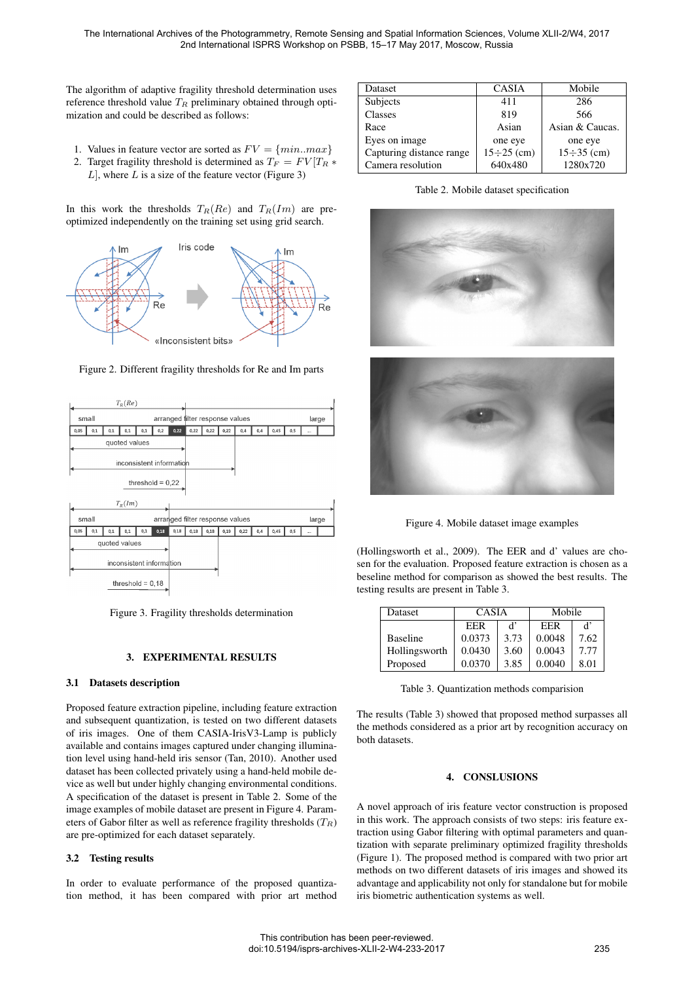The algorithm of adaptive fragility threshold determination uses reference threshold value  $T_R$  preliminary obtained through optimization and could be described as follows:

- 1. Values in feature vector are sorted as  $FV = \{min.max\}$
- 2. Target fragility threshold is determined as  $T_F = FV|T_R *$  $L$ , where  $L$  is a size of the feature vector (Figure 3)

In this work the thresholds  $T_R(Re)$  and  $T_R(Im)$  are preoptimized independently on the training set using grid search.



Figure 2. Different fragility thresholds for Re and Im parts



Figure 3. Fragility thresholds determination

# 3. EXPERIMENTAL RESULTS

#### 3.1 Datasets description

Proposed feature extraction pipeline, including feature extraction and subsequent quantization, is tested on two different datasets of iris images. One of them CASIA-IrisV3-Lamp is publicly available and contains images captured under changing illumination level using hand-held iris sensor (Tan, 2010). Another used dataset has been collected privately using a hand-held mobile device as well but under highly changing environmental conditions. A specification of the dataset is present in Table 2. Some of the image examples of mobile dataset are present in Figure 4. Parameters of Gabor filter as well as reference fragility thresholds  $(T_R)$ are pre-optimized for each dataset separately.

### 3.2 Testing results

In order to evaluate performance of the proposed quantization method, it has been compared with prior art method

| Dataset                  | <b>CASIA</b>      | Mobile            |
|--------------------------|-------------------|-------------------|
| Subjects                 | 411               | 286               |
| Classes                  | 819               | 566               |
| Race                     | Asian             | Asian & Caucas.   |
| Eyes on image            | one eye           | one eye           |
| Capturing distance range | $15 \div 25$ (cm) | $15 \div 35$ (cm) |
| Camera resolution        | 640x480           | 1280x720          |

Table 2. Mobile dataset specification



Figure 4. Mobile dataset image examples

(Hollingsworth et al., 2009). The EER and d' values are chosen for the evaluation. Proposed feature extraction is chosen as a beseline method for comparison as showed the best results. The testing results are present in Table 3.

| Dataset         | <b>CASIA</b> |      | Mobile |      |
|-----------------|--------------|------|--------|------|
|                 | EER          | ď    | EER    | ď    |
| <b>Baseline</b> | 0.0373       | 3.73 | 0.0048 | 7.62 |
| Hollingsworth   | 0.0430       | 3.60 | 0.0043 | 7.77 |
| Proposed        | 0.0370       | 3.85 | 0.0040 | 8.01 |

Table 3. Quantization methods comparision

The results (Table 3) showed that proposed method surpasses all the methods considered as a prior art by recognition accuracy on both datasets.

### 4. CONSLUSIONS

A novel approach of iris feature vector construction is proposed in this work. The approach consists of two steps: iris feature extraction using Gabor filtering with optimal parameters and quantization with separate preliminary optimized fragility thresholds (Figure 1). The proposed method is compared with two prior art methods on two different datasets of iris images and showed its advantage and applicability not only for standalone but for mobile iris biometric authentication systems as well.